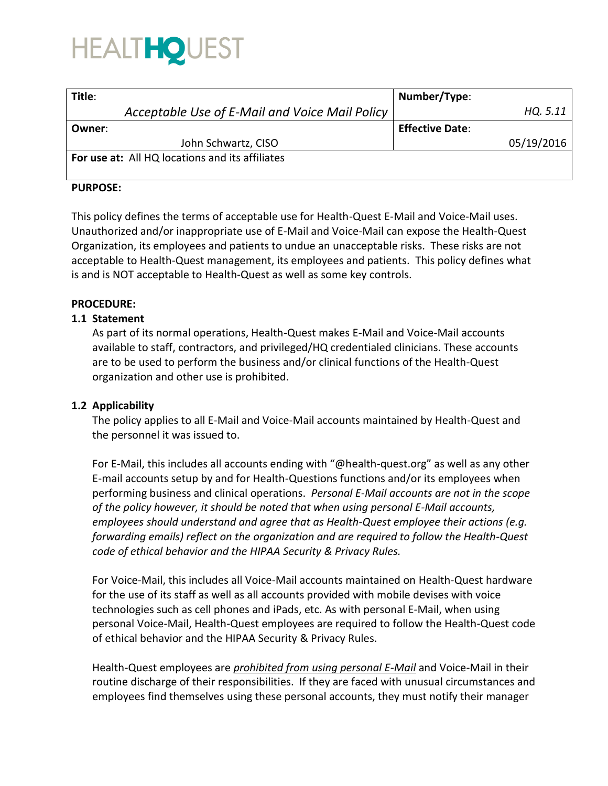

| Title:                                          | Number/Type:           |            |
|-------------------------------------------------|------------------------|------------|
| Acceptable Use of E-Mail and Voice Mail Policy  |                        | HQ. 5.11   |
| Owner:                                          | <b>Effective Date:</b> |            |
| John Schwartz, CISO                             |                        | 05/19/2016 |
| For use at: All HQ locations and its affiliates |                        |            |

#### **PURPOSE:**

This policy defines the terms of acceptable use for Health-Quest E-Mail and Voice-Mail uses. Unauthorized and/or inappropriate use of E-Mail and Voice-Mail can expose the Health-Quest Organization, its employees and patients to undue an unacceptable risks. These risks are not acceptable to Health-Quest management, its employees and patients. This policy defines what is and is NOT acceptable to Health-Quest as well as some key controls.

#### **PROCEDURE:**

#### **1.1 Statement**

As part of its normal operations, Health-Quest makes E-Mail and Voice-Mail accounts available to staff, contractors, and privileged/HQ credentialed clinicians. These accounts are to be used to perform the business and/or clinical functions of the Health-Quest organization and other use is prohibited.

#### **1.2 Applicability**

The policy applies to all E-Mail and Voice-Mail accounts maintained by Health-Quest and the personnel it was issued to.

For E-Mail, this includes all accounts ending with "@health-quest.org" as well as any other E-mail accounts setup by and for Health-Questions functions and/or its employees when performing business and clinical operations. *Personal E-Mail accounts are not in the scope of the policy however, it should be noted that when using personal E-Mail accounts, employees should understand and agree that as Health-Quest employee their actions (e.g. forwarding emails) reflect on the organization and are required to follow the Health-Quest code of ethical behavior and the HIPAA Security & Privacy Rules.* 

For Voice-Mail, this includes all Voice-Mail accounts maintained on Health-Quest hardware for the use of its staff as well as all accounts provided with mobile devises with voice technologies such as cell phones and iPads, etc. As with personal E-Mail, when using personal Voice-Mail, Health-Quest employees are required to follow the Health-Quest code of ethical behavior and the HIPAA Security & Privacy Rules.

Health-Quest employees are *prohibited from using personal E-Mail* and Voice-Mail in their routine discharge of their responsibilities. If they are faced with unusual circumstances and employees find themselves using these personal accounts, they must notify their manager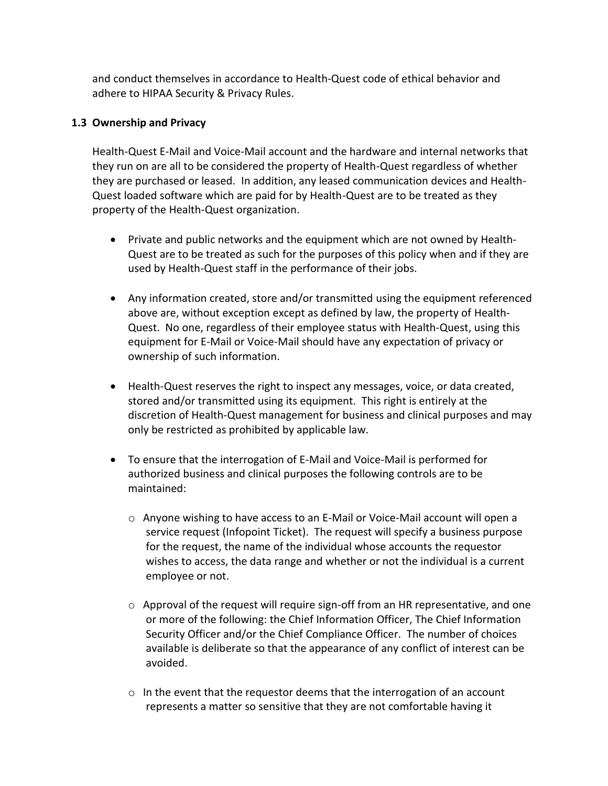and conduct themselves in accordance to Health-Quest code of ethical behavior and adhere to HIPAA Security & Privacy Rules.

# **1.3 Ownership and Privacy**

Health-Quest E-Mail and Voice-Mail account and the hardware and internal networks that they run on are all to be considered the property of Health-Quest regardless of whether they are purchased or leased. In addition, any leased communication devices and Health-Quest loaded software which are paid for by Health-Quest are to be treated as they property of the Health-Quest organization.

- Private and public networks and the equipment which are not owned by Health-Quest are to be treated as such for the purposes of this policy when and if they are used by Health-Quest staff in the performance of their jobs.
- Any information created, store and/or transmitted using the equipment referenced above are, without exception except as defined by law, the property of Health-Quest. No one, regardless of their employee status with Health-Quest, using this equipment for E-Mail or Voice-Mail should have any expectation of privacy or ownership of such information.
- Health-Quest reserves the right to inspect any messages, voice, or data created, stored and/or transmitted using its equipment. This right is entirely at the discretion of Health-Quest management for business and clinical purposes and may only be restricted as prohibited by applicable law.
- To ensure that the interrogation of E-Mail and Voice-Mail is performed for authorized business and clinical purposes the following controls are to be maintained:
	- o Anyone wishing to have access to an E-Mail or Voice-Mail account will open a service request (Infopoint Ticket). The request will specify a business purpose for the request, the name of the individual whose accounts the requestor wishes to access, the data range and whether or not the individual is a current employee or not.
	- o Approval of the request will require sign-off from an HR representative, and one or more of the following: the Chief Information Officer, The Chief Information Security Officer and/or the Chief Compliance Officer. The number of choices available is deliberate so that the appearance of any conflict of interest can be avoided.
	- o In the event that the requestor deems that the interrogation of an account represents a matter so sensitive that they are not comfortable having it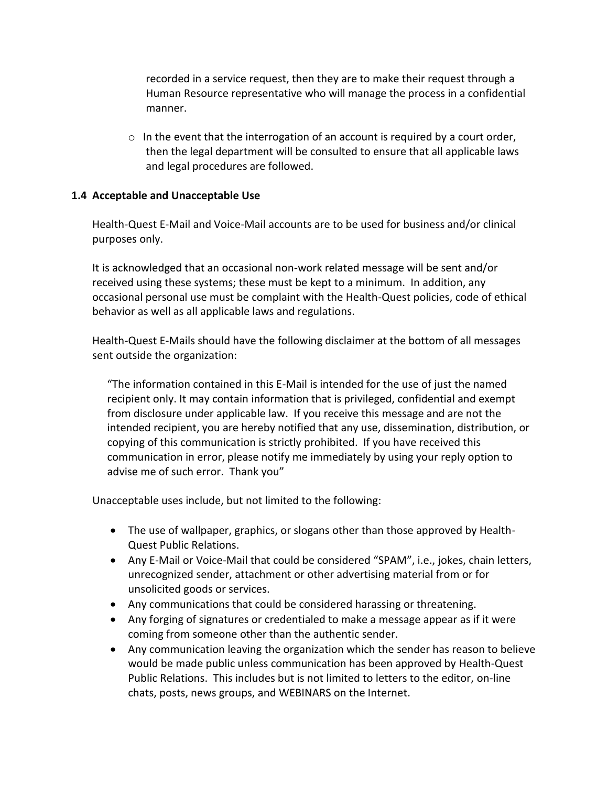recorded in a service request, then they are to make their request through a Human Resource representative who will manage the process in a confidential manner.

 $\circ$  In the event that the interrogation of an account is required by a court order, then the legal department will be consulted to ensure that all applicable laws and legal procedures are followed.

## **1.4 Acceptable and Unacceptable Use**

Health-Quest E-Mail and Voice-Mail accounts are to be used for business and/or clinical purposes only.

It is acknowledged that an occasional non-work related message will be sent and/or received using these systems; these must be kept to a minimum. In addition, any occasional personal use must be complaint with the Health-Quest policies, code of ethical behavior as well as all applicable laws and regulations.

Health-Quest E-Mails should have the following disclaimer at the bottom of all messages sent outside the organization:

"The information contained in this E-Mail is intended for the use of just the named recipient only. It may contain information that is privileged, confidential and exempt from disclosure under applicable law. If you receive this message and are not the intended recipient, you are hereby notified that any use, dissemination, distribution, or copying of this communication is strictly prohibited. If you have received this communication in error, please notify me immediately by using your reply option to advise me of such error. Thank you"

Unacceptable uses include, but not limited to the following:

- The use of wallpaper, graphics, or slogans other than those approved by Health-Quest Public Relations.
- Any E-Mail or Voice-Mail that could be considered "SPAM", i.e., jokes, chain letters, unrecognized sender, attachment or other advertising material from or for unsolicited goods or services.
- Any communications that could be considered harassing or threatening.
- Any forging of signatures or credentialed to make a message appear as if it were coming from someone other than the authentic sender.
- Any communication leaving the organization which the sender has reason to believe would be made public unless communication has been approved by Health-Quest Public Relations. This includes but is not limited to letters to the editor, on-line chats, posts, news groups, and WEBINARS on the Internet.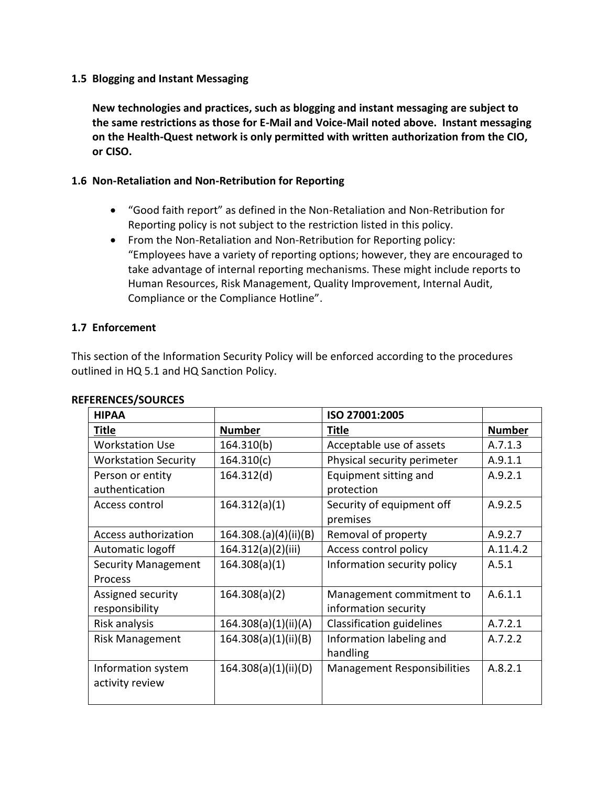## **1.5 Blogging and Instant Messaging**

**New technologies and practices, such as blogging and instant messaging are subject to the same restrictions as those for E-Mail and Voice-Mail noted above. Instant messaging on the Health-Quest network is only permitted with written authorization from the CIO, or CISO.**

# **1.6 Non-Retaliation and Non-Retribution for Reporting**

- "Good faith report" as defined in the Non-Retaliation and Non-Retribution for Reporting policy is not subject to the restriction listed in this policy.
- From the Non-Retaliation and Non-Retribution for Reporting policy: "Employees have a variety of reporting options; however, they are encouraged to take advantage of internal reporting mechanisms. These might include reports to Human Resources, Risk Management, Quality Improvement, Internal Audit, Compliance or the Compliance Hotline".

## **1.7 Enforcement**

This section of the Information Security Policy will be enforced according to the procedures outlined in HQ 5.1 and HQ Sanction Policy.

| <b>HIPAA</b>                |                       | ISO 27001:2005              |               |
|-----------------------------|-----------------------|-----------------------------|---------------|
| Title                       | <b>Number</b>         | <b>Title</b>                | <b>Number</b> |
| <b>Workstation Use</b>      | 164.310(b)            | Acceptable use of assets    | A.7.1.3       |
| <b>Workstation Security</b> | 164.310(c)            | Physical security perimeter | A.9.1.1       |
| Person or entity            | 164.312(d)            | Equipment sitting and       | A.9.2.1       |
| authentication              |                       | protection                  |               |
| Access control              | 164.312(a)(1)         | Security of equipment off   | A.9.2.5       |
|                             |                       | premises                    |               |
| Access authorization        | 164.308.(a)(4)(ii)(B) | Removal of property         | A.9.2.7       |
| Automatic logoff            | 164.312(a)(2)(iii)    | Access control policy       | A.11.4.2      |
| <b>Security Management</b>  | 164.308(a)(1)         | Information security policy | A.5.1         |
| Process                     |                       |                             |               |
| Assigned security           | 164.308(a)(2)         | Management commitment to    | A.6.1.1       |
| responsibility              |                       | information security        |               |
| Risk analysis               | 164.308(a)(1)(ii)(A)  | Classification guidelines   | A.7.2.1       |
| <b>Risk Management</b>      | 164.308(a)(1)(ii)(B)  | Information labeling and    | A.7.2.2       |
|                             |                       | handling                    |               |
| Information system          | 164.308(a)(1)(ii)(D)  | Management Responsibilities | A.8.2.1       |
| activity review             |                       |                             |               |
|                             |                       |                             |               |

#### **REFERENCES/SOURCES**